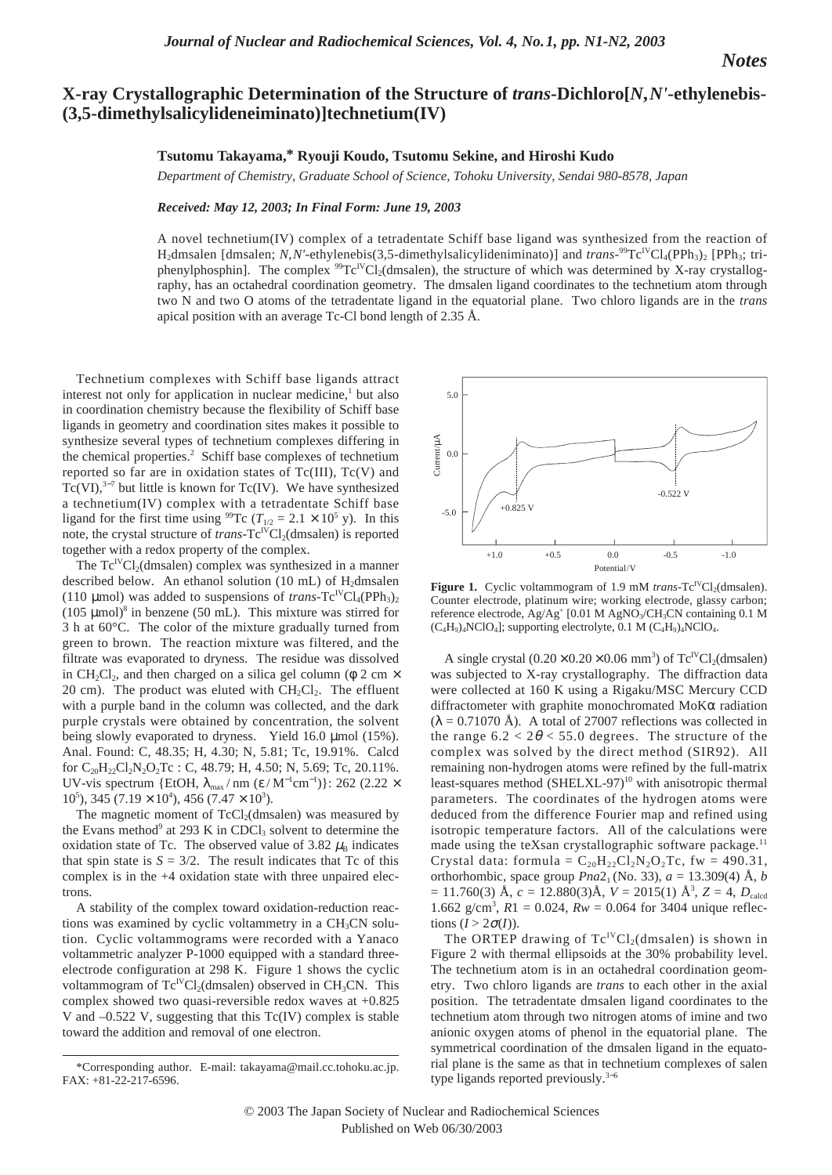*Notes*

## **X-ray Crystallographic Determination of the Structure of** *trans***-Dichloro[***N***,***N'***-ethylenebis- (3,5-dimethylsalicylideneiminato)]technetium(IV)**

## **Tsutomu Takayama,\* Ryouji Koudo, Tsutomu Sekine, and Hiroshi Kudo**

*Department of Chemistry, Graduate School of Science, Tohoku University, Sendai 980-8578, Japan* 

## *Received: May 12, 2003; In Final Form: June 19, 2003*

A novel technetium(IV) complex of a tetradentate Schiff base ligand was synthesized from the reaction of H<sub>2</sub>dmsalen [dmsalen; *N,N'*-ethylenebis(3,5-dimethylsalicylideniminato)] and *trans*-<sup>99</sup>Tc<sup>IV</sup>Cl<sub>4</sub>(PPh<sub>3</sub>)<sub>2</sub> [PPh<sub>3</sub>; triphenylphosphin]. The complex  ${}^{99}Tc^{IV}Cl<sub>2</sub>(dmsalen)$ , the structure of which was determined by X-ray crystallography, has an octahedral coordination geometry. The dmsalen ligand coordinates to the technetium atom through two N and two O atoms of the tetradentate ligand in the equatorial plane. Two chloro ligands are in the *trans* apical position with an average Tc-Cl bond length of 2.35 Å.

Technetium complexes with Schiff base ligands attract interest not only for application in nuclear medicine, $<sup>1</sup>$  but also</sup> in coordination chemistry because the flexibility of Schiff base ligands in geometry and coordination sites makes it possible to synthesize several types of technetium complexes differing in the chemical properties.<sup>2</sup> Schiff base complexes of technetium reported so far are in oxidation states of  $Tc(III)$ ,  $Tc(V)$  and  $Tc(VI),^{3-7}$  but little is known for Tc(IV). We have synthesized a technetium(IV) complex with a tetradentate Schiff base ligand for the first time using <sup>99</sup>Tc ( $T_{1/2} = 2.1 \times 10^5$  y). In this note, the crystal structure of *trans*-Tc<sup>IV</sup>Cl<sub>2</sub>(dmsalen) is reported together with a redox property of the complex.

The  $Tc^{IV}Cl<sub>2</sub>(dmsalen)$  complex was synthesized in a manner described below. An ethanol solution (10 mL) of  $H_2$ dmsalen (110 µmol) was added to suspensions of *trans*-Tc<sup>IV</sup>Cl<sub>4</sub>(PPh<sub>3</sub>)<sub>2</sub> (105  $\mu$ mol)<sup>8</sup> in benzene (50 mL). This mixture was stirred for 3 h at 60°C. The color of the mixture gradually turned from green to brown. The reaction mixture was filtered, and the filtrate was evaporated to dryness. The residue was dissolved in CH<sub>2</sub>Cl<sub>2</sub>, and then charged on a silica gel column ( $\phi$  2 cm  $\times$ 20 cm). The product was eluted with  $CH_2Cl_2$ . The effluent with a purple band in the column was collected, and the dark purple crystals were obtained by concentration, the solvent being slowly evaporated to dryness. Yield 16.0 µmol (15%). Anal. Found: C, 48.35; H, 4.30; N, 5.81; Tc, 19.91%. Calcd for  $C_{20}H_{22}Cl_2N_2O_2Tc$ : C, 48.79; H, 4.50; N, 5.69; Tc, 20.11%. UV-vis spectrum {EtOH,  $\lambda_{\text{max}}/ \text{nm}$  (ε / M<sup>-1</sup>cm<sup>-1</sup>)}: 262 (2.22 ×  $10^5$ ), 345 (7.19  $\times$  10<sup>4</sup>), 456 (7.47  $\times$  10<sup>3</sup>).

The magnetic moment of  $TcCl<sub>2</sub>(dmsalen)$  was measured by the Evans method<sup>9</sup> at 293 K in CDCl<sub>3</sub> solvent to determine the oxidation state of Tc. The observed value of 3.82  $\mu$ <sub>B</sub> indicates that spin state is  $S = 3/2$ . The result indicates that Tc of this complex is in the +4 oxidation state with three unpaired electrons.

A stability of the complex toward oxidation-reduction reactions was examined by cyclic voltammetry in a  $CH<sub>3</sub>CN$  solution. Cyclic voltammograms were recorded with a Yanaco voltammetric analyzer P-1000 equipped with a standard threeelectrode configuration at 298 K. Figure 1 shows the cyclic voltammogram of  $Tc^{IV}Cl<sub>2</sub>(dmsalen)$  observed in  $CH<sub>3</sub>CN$ . This complex showed two quasi-reversible redox waves at +0.825 V and –0.522 V, suggesting that this Tc(IV) complex is stable toward the addition and removal of one electron.



**Figure 1.** Cyclic voltammogram of 1.9 mM *trans*-Tc<sup>IV</sup>Cl<sub>2</sub>(dmsalen). Counter electrode, platinum wire; working electrode, glassy carbon; reference electrode,  $Ag/Ag'$  [0.01 M AgNO<sub>3</sub>/CH<sub>3</sub>CN containing 0.1 M  $(C_4H_9)_4NClO_4$ ; supporting electrolyte, 0.1 M  $(C_4H_9)_4NClO_4$ .

A single crystal  $(0.20 \times 0.20 \times 0.06 \text{ mm}^3)$  of Tc<sup>IV</sup>Cl<sub>2</sub>(dmsalen) was subjected to X-ray crystallography. The diffraction data were collected at 160 K using a Rigaku/MSC Mercury CCD diffractometer with graphite monochromated MoKα radiation  $(\lambda = 0.71070 \text{ Å})$ . A total of 27007 reflections was collected in the range  $6.2 < 2\theta < 55.0$  degrees. The structure of the complex was solved by the direct method (SIR92). All remaining non-hydrogen atoms were refined by the full-matrix least-squares method (SHELXL-97)<sup>10</sup> with anisotropic thermal parameters. The coordinates of the hydrogen atoms were deduced from the difference Fourier map and refined using isotropic temperature factors. All of the calculations were made using the teXsan crystallographic software package.<sup>11</sup> Crystal data: formula =  $C_{20}H_{22}Cl_2N_2O_2Tc$ , fw = 490.31, orthorhombic, space group  $Pna2_1$  (No. 33),  $a = 13.309(4)$  Å, *b*  $= 11.760(3)$  Å,  $c = 12.880(3)$ Å,  $V = 2015(1)$  Å<sup>3</sup>,  $Z = 4$ ,  $D_{\text{cal}}$ 1.662 g/cm<sup>3</sup>,  $R1 = 0.024$ ,  $Rw = 0.064$  for 3404 unique reflections  $(I > 2\sigma(I))$ .

The ORTEP drawing of  $Tc^{IV}Cl<sub>2</sub>(dmsalen)$  is shown in Figure 2 with thermal ellipsoids at the 30% probability level. The technetium atom is in an octahedral coordination geometry. Two chloro ligands are *trans* to each other in the axial position. The tetradentate dmsalen ligand coordinates to the technetium atom through two nitrogen atoms of imine and two anionic oxygen atoms of phenol in the equatorial plane. The symmetrical coordination of the dmsalen ligand in the equatorial plane is the same as that in technetium complexes of salen type ligands reported previously.3−<sup>6</sup>

<sup>\*</sup>Corresponding author. E-mail: takayama@mail.cc.tohoku.ac.jp. FAX: +81-22-217-6596.